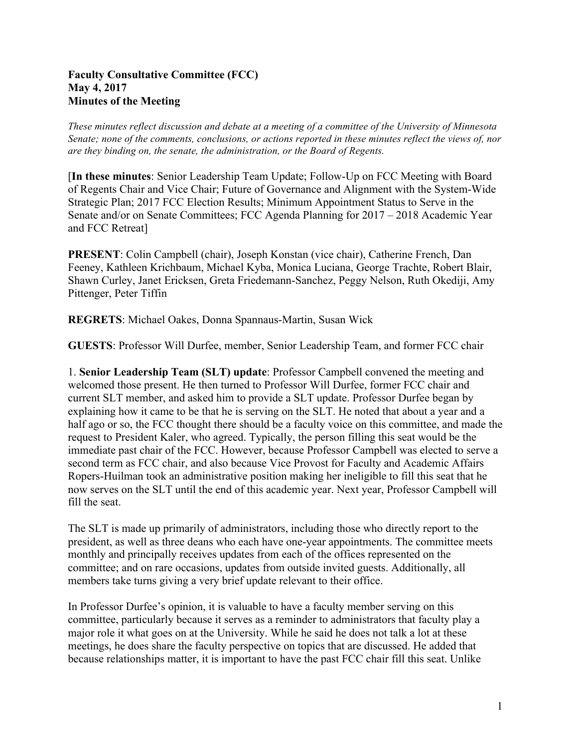## **Faculty Consultative Committee (FCC) May 4, 2017 Minutes of the Meeting**

*These minutes reflect discussion and debate at a meeting of a committee of the University of Minnesota Senate; none of the comments, conclusions, or actions reported in these minutes reflect the views of, nor are they binding on, the senate, the administration, or the Board of Regents.*

[**In these minutes**: Senior Leadership Team Update; Follow-Up on FCC Meeting with Board of Regents Chair and Vice Chair; Future of Governance and Alignment with the System-Wide Strategic Plan; 2017 FCC Election Results; Minimum Appointment Status to Serve in the Senate and/or on Senate Committees; FCC Agenda Planning for 2017 – 2018 Academic Year and FCC Retreat]

**PRESENT**: Colin Campbell (chair), Joseph Konstan (vice chair), Catherine French, Dan Feeney, Kathleen Krichbaum, Michael Kyba, Monica Luciana, George Trachte, Robert Blair, Shawn Curley, Janet Ericksen, Greta Friedemann-Sanchez, Peggy Nelson, Ruth Okediji, Amy Pittenger, Peter Tiffin

**REGRETS**: Michael Oakes, Donna Spannaus-Martin, Susan Wick

**GUESTS**: Professor Will Durfee, member, Senior Leadership Team, and former FCC chair

1. **Senior Leadership Team (SLT) update**: Professor Campbell convened the meeting and welcomed those present. He then turned to Professor Will Durfee, former FCC chair and current SLT member, and asked him to provide a SLT update. Professor Durfee began by explaining how it came to be that he is serving on the SLT. He noted that about a year and a half ago or so, the FCC thought there should be a faculty voice on this committee, and made the request to President Kaler, who agreed. Typically, the person filling this seat would be the immediate past chair of the FCC. However, because Professor Campbell was elected to serve a second term as FCC chair, and also because Vice Provost for Faculty and Academic Affairs Ropers-Huilman took an administrative position making her ineligible to fill this seat that he now serves on the SLT until the end of this academic year. Next year, Professor Campbell will fill the seat.

The SLT is made up primarily of administrators, including those who directly report to the president, as well as three deans who each have one-year appointments. The committee meets monthly and principally receives updates from each of the offices represented on the committee; and on rare occasions, updates from outside invited guests. Additionally, all members take turns giving a very brief update relevant to their office.

In Professor Durfee's opinion, it is valuable to have a faculty member serving on this committee, particularly because it serves as a reminder to administrators that faculty play a major role it what goes on at the University. While he said he does not talk a lot at these meetings, he does share the faculty perspective on topics that are discussed. He added that because relationships matter, it is important to have the past FCC chair fill this seat. Unlike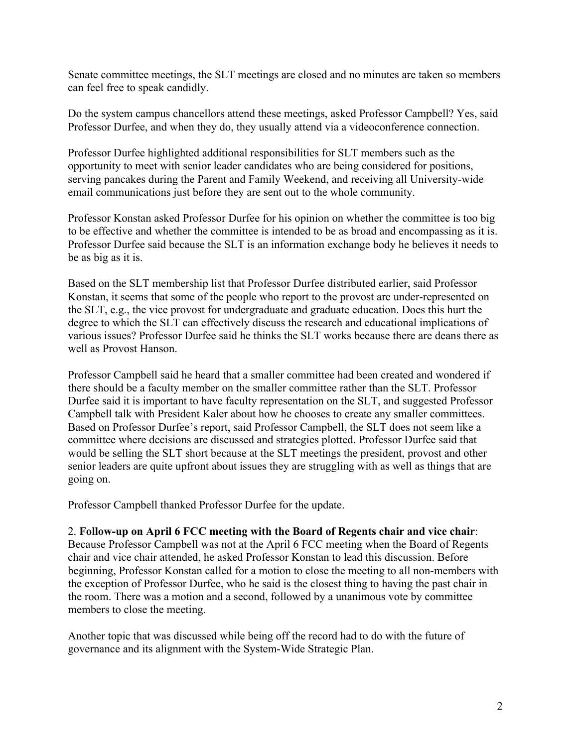Senate committee meetings, the SLT meetings are closed and no minutes are taken so members can feel free to speak candidly.

Do the system campus chancellors attend these meetings, asked Professor Campbell? Yes, said Professor Durfee, and when they do, they usually attend via a videoconference connection.

Professor Durfee highlighted additional responsibilities for SLT members such as the opportunity to meet with senior leader candidates who are being considered for positions, serving pancakes during the Parent and Family Weekend, and receiving all University-wide email communications just before they are sent out to the whole community.

Professor Konstan asked Professor Durfee for his opinion on whether the committee is too big to be effective and whether the committee is intended to be as broad and encompassing as it is. Professor Durfee said because the SLT is an information exchange body he believes it needs to be as big as it is.

Based on the SLT membership list that Professor Durfee distributed earlier, said Professor Konstan, it seems that some of the people who report to the provost are under-represented on the SLT, e.g., the vice provost for undergraduate and graduate education. Does this hurt the degree to which the SLT can effectively discuss the research and educational implications of various issues? Professor Durfee said he thinks the SLT works because there are deans there as well as Provost Hanson.

Professor Campbell said he heard that a smaller committee had been created and wondered if there should be a faculty member on the smaller committee rather than the SLT. Professor Durfee said it is important to have faculty representation on the SLT, and suggested Professor Campbell talk with President Kaler about how he chooses to create any smaller committees. Based on Professor Durfee's report, said Professor Campbell, the SLT does not seem like a committee where decisions are discussed and strategies plotted. Professor Durfee said that would be selling the SLT short because at the SLT meetings the president, provost and other senior leaders are quite upfront about issues they are struggling with as well as things that are going on.

Professor Campbell thanked Professor Durfee for the update.

## 2. **Follow-up on April 6 FCC meeting with the Board of Regents chair and vice chair**:

Because Professor Campbell was not at the April 6 FCC meeting when the Board of Regents chair and vice chair attended, he asked Professor Konstan to lead this discussion. Before beginning, Professor Konstan called for a motion to close the meeting to all non-members with the exception of Professor Durfee, who he said is the closest thing to having the past chair in the room. There was a motion and a second, followed by a unanimous vote by committee members to close the meeting.

Another topic that was discussed while being off the record had to do with the future of governance and its alignment with the System-Wide Strategic Plan.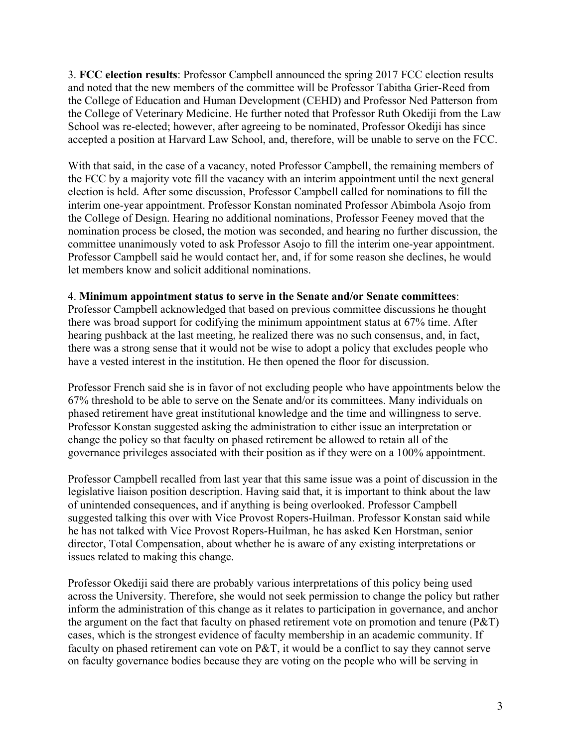3. **FCC election results**: Professor Campbell announced the spring 2017 FCC election results and noted that the new members of the committee will be Professor Tabitha Grier-Reed from the College of Education and Human Development (CEHD) and Professor Ned Patterson from the College of Veterinary Medicine. He further noted that Professor Ruth Okediji from the Law School was re-elected; however, after agreeing to be nominated, Professor Okediji has since accepted a position at Harvard Law School, and, therefore, will be unable to serve on the FCC.

With that said, in the case of a vacancy, noted Professor Campbell, the remaining members of the FCC by a majority vote fill the vacancy with an interim appointment until the next general election is held. After some discussion, Professor Campbell called for nominations to fill the interim one-year appointment. Professor Konstan nominated Professor Abimbola Asojo from the College of Design. Hearing no additional nominations, Professor Feeney moved that the nomination process be closed, the motion was seconded, and hearing no further discussion, the committee unanimously voted to ask Professor Asojo to fill the interim one-year appointment. Professor Campbell said he would contact her, and, if for some reason she declines, he would let members know and solicit additional nominations.

## 4. **Minimum appointment status to serve in the Senate and/or Senate committees**:

Professor Campbell acknowledged that based on previous committee discussions he thought there was broad support for codifying the minimum appointment status at 67% time. After hearing pushback at the last meeting, he realized there was no such consensus, and, in fact, there was a strong sense that it would not be wise to adopt a policy that excludes people who have a vested interest in the institution. He then opened the floor for discussion.

Professor French said she is in favor of not excluding people who have appointments below the 67% threshold to be able to serve on the Senate and/or its committees. Many individuals on phased retirement have great institutional knowledge and the time and willingness to serve. Professor Konstan suggested asking the administration to either issue an interpretation or change the policy so that faculty on phased retirement be allowed to retain all of the governance privileges associated with their position as if they were on a 100% appointment.

Professor Campbell recalled from last year that this same issue was a point of discussion in the legislative liaison position description. Having said that, it is important to think about the law of unintended consequences, and if anything is being overlooked. Professor Campbell suggested talking this over with Vice Provost Ropers-Huilman. Professor Konstan said while he has not talked with Vice Provost Ropers-Huilman, he has asked Ken Horstman, senior director, Total Compensation, about whether he is aware of any existing interpretations or issues related to making this change.

Professor Okediji said there are probably various interpretations of this policy being used across the University. Therefore, she would not seek permission to change the policy but rather inform the administration of this change as it relates to participation in governance, and anchor the argument on the fact that faculty on phased retirement vote on promotion and tenure (P&T) cases, which is the strongest evidence of faculty membership in an academic community. If faculty on phased retirement can vote on P&T, it would be a conflict to say they cannot serve on faculty governance bodies because they are voting on the people who will be serving in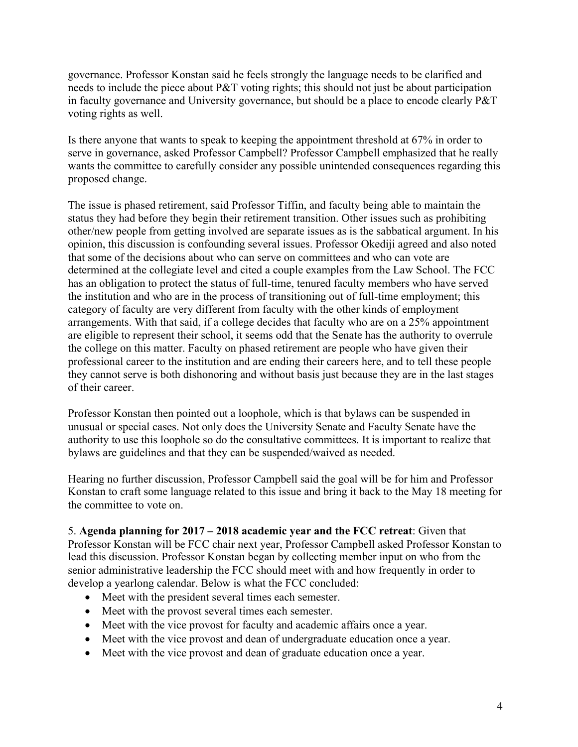governance. Professor Konstan said he feels strongly the language needs to be clarified and needs to include the piece about P&T voting rights; this should not just be about participation in faculty governance and University governance, but should be a place to encode clearly P&T voting rights as well.

Is there anyone that wants to speak to keeping the appointment threshold at 67% in order to serve in governance, asked Professor Campbell? Professor Campbell emphasized that he really wants the committee to carefully consider any possible unintended consequences regarding this proposed change.

The issue is phased retirement, said Professor Tiffin, and faculty being able to maintain the status they had before they begin their retirement transition. Other issues such as prohibiting other/new people from getting involved are separate issues as is the sabbatical argument. In his opinion, this discussion is confounding several issues. Professor Okediji agreed and also noted that some of the decisions about who can serve on committees and who can vote are determined at the collegiate level and cited a couple examples from the Law School. The FCC has an obligation to protect the status of full-time, tenured faculty members who have served the institution and who are in the process of transitioning out of full-time employment; this category of faculty are very different from faculty with the other kinds of employment arrangements. With that said, if a college decides that faculty who are on a 25% appointment are eligible to represent their school, it seems odd that the Senate has the authority to overrule the college on this matter. Faculty on phased retirement are people who have given their professional career to the institution and are ending their careers here, and to tell these people they cannot serve is both dishonoring and without basis just because they are in the last stages of their career.

Professor Konstan then pointed out a loophole, which is that bylaws can be suspended in unusual or special cases. Not only does the University Senate and Faculty Senate have the authority to use this loophole so do the consultative committees. It is important to realize that bylaws are guidelines and that they can be suspended/waived as needed.

Hearing no further discussion, Professor Campbell said the goal will be for him and Professor Konstan to craft some language related to this issue and bring it back to the May 18 meeting for the committee to vote on.

5. **Agenda planning for 2017 – 2018 academic year and the FCC retreat**: Given that Professor Konstan will be FCC chair next year, Professor Campbell asked Professor Konstan to lead this discussion. Professor Konstan began by collecting member input on who from the senior administrative leadership the FCC should meet with and how frequently in order to develop a yearlong calendar. Below is what the FCC concluded:

- Meet with the president several times each semester.
- Meet with the provost several times each semester.
- Meet with the vice provost for faculty and academic affairs once a year.
- Meet with the vice provost and dean of undergraduate education once a year.
- Meet with the vice provost and dean of graduate education once a year.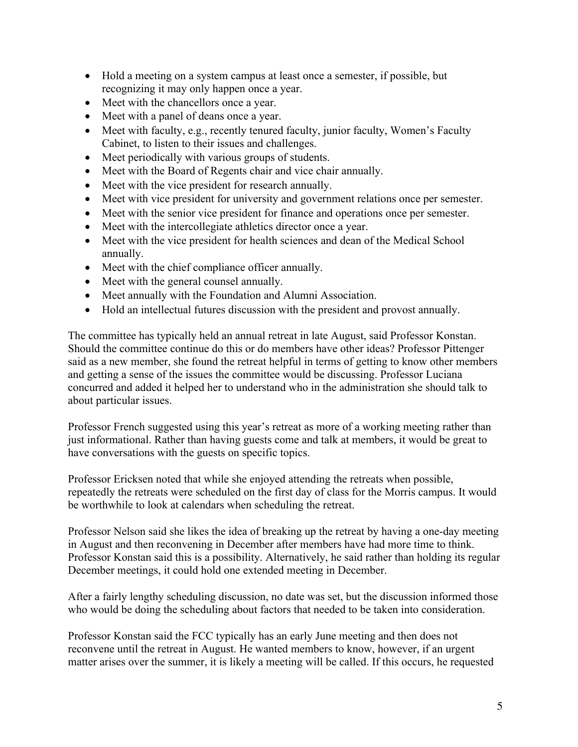- Hold a meeting on a system campus at least once a semester, if possible, but recognizing it may only happen once a year.
- Meet with the chancellors once a year.
- Meet with a panel of deans once a year.
- Meet with faculty, e.g., recently tenured faculty, junior faculty, Women's Faculty Cabinet, to listen to their issues and challenges.
- Meet periodically with various groups of students.
- Meet with the Board of Regents chair and vice chair annually.
- Meet with the vice president for research annually.
- Meet with vice president for university and government relations once per semester.
- Meet with the senior vice president for finance and operations once per semester.
- Meet with the intercollegiate athletics director once a year.
- Meet with the vice president for health sciences and dean of the Medical School annually.
- Meet with the chief compliance officer annually.
- Meet with the general counsel annually.
- Meet annually with the Foundation and Alumni Association.
- Hold an intellectual futures discussion with the president and provost annually.

The committee has typically held an annual retreat in late August, said Professor Konstan. Should the committee continue do this or do members have other ideas? Professor Pittenger said as a new member, she found the retreat helpful in terms of getting to know other members and getting a sense of the issues the committee would be discussing. Professor Luciana concurred and added it helped her to understand who in the administration she should talk to about particular issues.

Professor French suggested using this year's retreat as more of a working meeting rather than just informational. Rather than having guests come and talk at members, it would be great to have conversations with the guests on specific topics.

Professor Ericksen noted that while she enjoyed attending the retreats when possible, repeatedly the retreats were scheduled on the first day of class for the Morris campus. It would be worthwhile to look at calendars when scheduling the retreat.

Professor Nelson said she likes the idea of breaking up the retreat by having a one-day meeting in August and then reconvening in December after members have had more time to think. Professor Konstan said this is a possibility. Alternatively, he said rather than holding its regular December meetings, it could hold one extended meeting in December.

After a fairly lengthy scheduling discussion, no date was set, but the discussion informed those who would be doing the scheduling about factors that needed to be taken into consideration.

Professor Konstan said the FCC typically has an early June meeting and then does not reconvene until the retreat in August. He wanted members to know, however, if an urgent matter arises over the summer, it is likely a meeting will be called. If this occurs, he requested